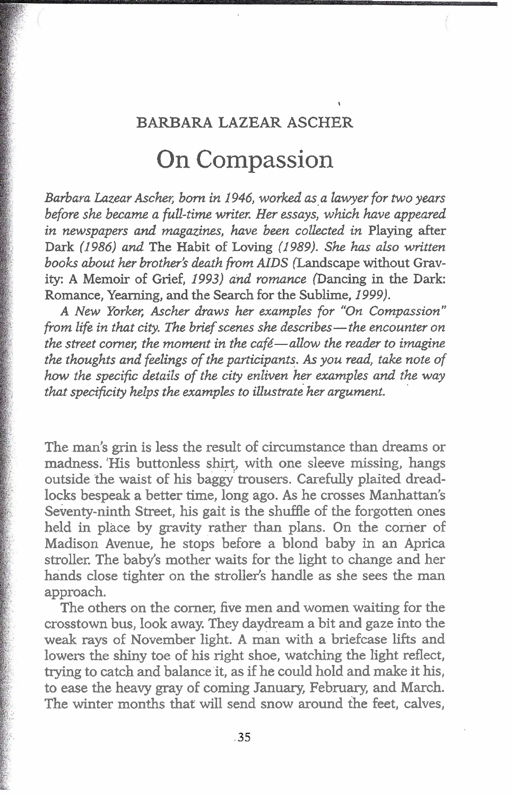## **BARBARA LAZEAR ASCHER**

,

## On Compassion

*Barbara Lazear Ascher, born in 1946, worked as a lawyer for two years before she became a full-time writer. Her essays, which have appeared in newspapers and magazines, have been collected in* Playing after **Dark** *(1986) and* The Habit of Loving *(1989). She has also written*  books about her brother's death from AIDS (Landscape without Gravity: **A** Memoir of Grief, *1993) and romance* (Dancing in the Dark: Romance, Yearning, and the Search for the Sublime, *1999).* 

A *New Yorkev, Ascher draws her examples for "On Compassion" from life in that city. The brief scenes she describes— the encounter on the street corner, the moment in the cafd-allow the reader to imagine the thoughts and feelings of the participants. As you read, take note of how the specific details of the city enliven her examples and the way that specificity helps the examples to illustrate her argument.* 

The man's grin is less the result of circumstance than dreams or madness. 'His buttonless shirt, with one sleeve missing, hangs outside the waist of his baggy trousers. Carefully plaited dreadlocks bespeak a better time, long ago. As he crosses Manhattan's Seventy-ninth Street, his gait is the shuffle of the forgotten ones held in place by **gravity** rather **than** plans. On the corner of Madison Avenue, he stops before a blond baby in an Aprica stroller. The baby's mother waits for the light to change and her **hands** close tighter on the stroller's handle as she sees the man approach.

The others on the corner, five men and women waiting for the crosstown bus, look away. They daydream a bit and gaze into the weak rays of November light. **A** man with a briefcase lifts and lowers the shiny toe of his right shoe, watching the light reflect, trying to catch and balance it, as if he could hold and make it his, to ease the heavy gray of coming January, February, and March. The winter months that will send snow around the feet, calves,